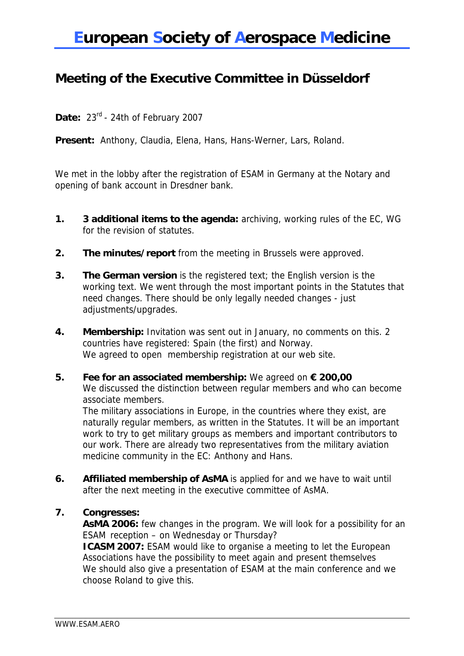## **European Society of Aerospace Medicine**

### **Meeting of the Executive Committee in Düsseldorf**

**Date:** 23rd - 24th of February 2007

**Present:** Anthony, Claudia, Elena, Hans, Hans-Werner, Lars, Roland.

We met in the lobby after the registration of ESAM in Germany at the Notary and opening of bank account in Dresdner bank.

- **1. 3 additional items to the agenda:** archiving, working rules of the EC, WG for the revision of statutes.
- **2. The minutes/report** from the meeting in Brussels were approved.
- **3. The German version** is the registered text; the English version is the working text. We went through the most important points in the Statutes that need changes. There should be only legally needed changes - just adjustments/upgrades.
- **4. Membership:** Invitation was sent out in January, no comments on this. 2 countries have registered: Spain (the first) and Norway. We agreed to open membership registration at our web site.
- **5. Fee for an associated membership:** We agreed on **€ 200,00** We discussed the distinction between regular members and who can become associate members.

The military associations in Europe, in the countries where they exist, are naturally regular members, as written in the Statutes. It will be an important work to try to get military groups as members and important contributors to our work. There are already two representatives from the military aviation medicine community in the EC: Anthony and Hans.

**6. Affiliated membership of AsMA** is applied for and we have to wait until after the next meeting in the executive committee of AsMA.

#### **7. Congresses:**

**AsMA 2006:** few changes in the program. We will look for a possibility for an ESAM reception – on Wednesday or Thursday? **ICASM 2007:** ESAM would like to organise a meeting to let the European

Associations have the possibility to meet again and present themselves We should also give a presentation of ESAM at the main conference and we choose Roland to give this.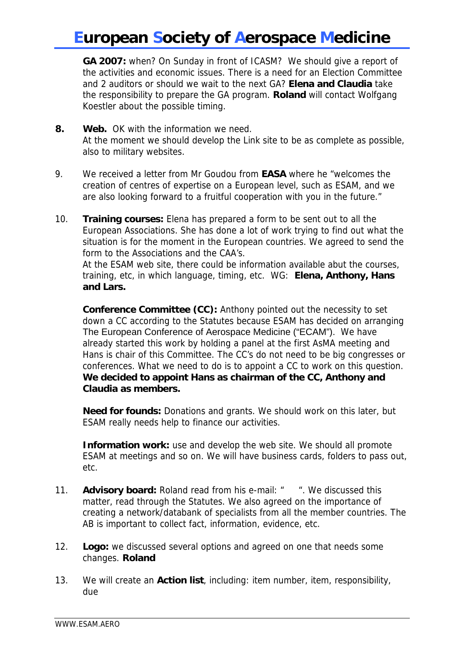# **European Society of Aerospace Medicine**

**GA 2007:** when? On Sunday in front of ICASM? We should give a report of the activities and economic issues. There is a need for an Election Committee and 2 auditors or should we wait to the next GA? **Elena and Claudia** take the responsibility to prepare the GA program. **Roland** will contact Wolfgang Koestler about the possible timing.

- **8. Web.** OK with the information we need. At the moment we should develop the Link site to be as complete as possible, also to military websites.
- 9. We received a letter from Mr Goudou from **EASA** where he "welcomes the creation of centres of expertise on a European level, such as ESAM, and we are also looking forward to a fruitful cooperation with you in the future."
- 10. **Training courses:** Elena has prepared a form to be sent out to all the European Associations. She has done a lot of work trying to find out what the situation is for the moment in the European countries. We agreed to send the form to the Associations and the CAA's.

At the ESAM web site, there could be information available abut the courses, training, etc, in which language, timing, etc. WG: **Elena, Anthony, Hans and Lars.** 

**Conference Committee (CC):** Anthony pointed out the necessity to set down a CC according to the Statutes because ESAM has decided on arranging The European Conference of Aerospace Medicine ("ECAM"). We have already started this work by holding a panel at the first AsMA meeting and Hans is chair of this Committee. The CC's do not need to be big congresses or conferences. What we need to do is to appoint a CC to work on this question. **We decided to appoint Hans as chairman of the CC, Anthony and Claudia as members.**

**Need for founds:** Donations and grants. We should work on this later, but ESAM really needs help to finance our activities.

**Information work:** use and develop the web site. We should all promote ESAM at meetings and so on. We will have business cards, folders to pass out, etc.

- 11. **Advisory board:** Roland read from his e-mail: " ". We discussed this matter, read through the Statutes. We also agreed on the importance of creating a network/databank of specialists from all the member countries. The AB is important to collect fact, information, evidence, etc.
- 12. **Logo:** we discussed several options and agreed on one that needs some changes. **Roland**
- 13. We will create an **Action list**, including: item number, item, responsibility, due